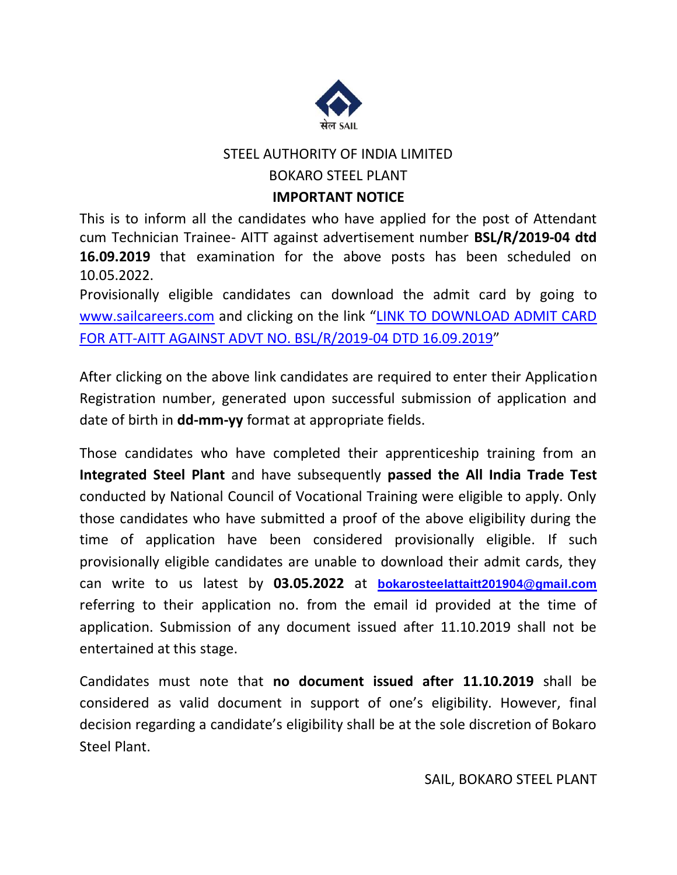

# STEEL AUTHORITY OF INDIA LIMITED

#### BOKARO STEEL PLANT

#### **IMPORTANT NOTICE**

This is to inform all the candidates who have applied for the post of Attendant cum Technician Trainee- AITT against advertisement number **BSL/R/2019-04 dtd 16.09.2019** that examination for the above posts has been scheduled on 10.05.2022.

Provisionally eligible candidates can download the admit card by going to [www.sailcareers.com](http://www.sailcareers.com/) and clicking on the link "[LINK TO DOWNLOAD ADMIT CARD](http://ibpsonline.ibps.in/sailbvpapr21/cloea_apr21/login.php?appid=03589b82ca9206ede13affaeaa878453)  [FOR ATT-AITT AGAINST ADVT NO. BSL/R/2019-04](http://ibpsonline.ibps.in/sailbvpapr21/cloea_apr21/login.php?appid=03589b82ca9206ede13affaeaa878453) DTD 16.09.2019"

After clicking on the above link candidates are required to enter their Application Registration number, generated upon successful submission of application and date of birth in **dd-mm-yy** format at appropriate fields.

Those candidates who have completed their apprenticeship training from an **Integrated Steel Plant** and have subsequently **passed the All India Trade Test** conducted by National Council of Vocational Training were eligible to apply. Only those candidates who have submitted a proof of the above eligibility during the time of application have been considered provisionally eligible. If such provisionally eligible candidates are unable to download their admit cards, they can write to us latest by **03.05.2022** at **[bokarosteelattaitt201904@gmail.com](mailto:bokarosteelattaitt201904@gmail.com)** referring to their application no. from the email id provided at the time of application. Submission of any document issued after 11.10.2019 shall not be entertained at this stage.

Candidates must note that **no document issued after 11.10.2019** shall be considered as valid document in support of one's eligibility. However, final decision regarding a candidate's eligibility shall be at the sole discretion of Bokaro Steel Plant.

SAIL, BOKARO STEEL PLANT